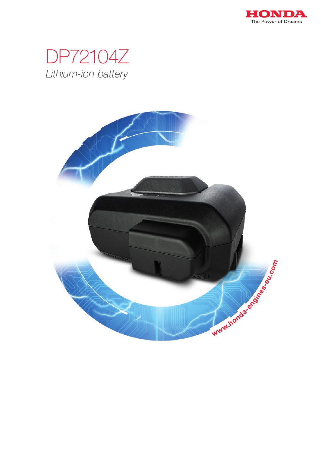

## DP72104Z Lithium-ion battery

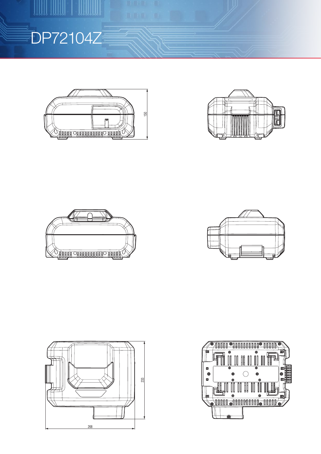

 $\begin{array}{c|c|c|c|c} \hline \multicolumn{3}{c|}{\textbf{1}} & \multicolumn{3}{c|}{\textbf{2}} & \multicolumn{3}{c|}{\textbf{3}} & \multicolumn{3}{c|}{\textbf{4}} & \multicolumn{3}{c|}{\textbf{5}} & \multicolumn{3}{c|}{\textbf{6}} & \multicolumn{3}{c|}{\textbf{6}} & \multicolumn{3}{c|}{\textbf{6}} & \multicolumn{3}{c|}{\textbf{6}} & \multicolumn{3}{c|}{\textbf{6}} & \multicolumn{3}{c|}{\textbf{6}} & \multicolumn{3}{c|}{\textbf{6$